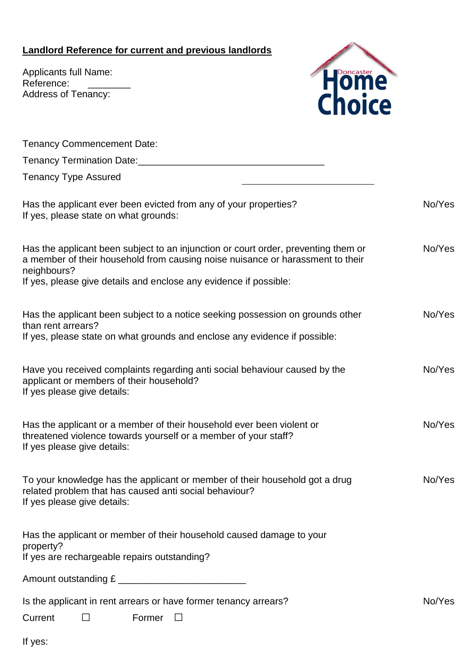## **Landlord Reference for current and previous landlords**

Applicants full Name: Reference: \_\_\_\_\_\_\_\_ Address of Tenancy:



| <b>Tenancy Commencement Date:</b>                                                                                                                                                                                                                        |        |
|----------------------------------------------------------------------------------------------------------------------------------------------------------------------------------------------------------------------------------------------------------|--------|
| Tenancy Termination Date:                                                                                                                                                                                                                                |        |
| <b>Tenancy Type Assured</b>                                                                                                                                                                                                                              |        |
| Has the applicant ever been evicted from any of your properties?<br>If yes, please state on what grounds:                                                                                                                                                | No/Yes |
| Has the applicant been subject to an injunction or court order, preventing them or<br>a member of their household from causing noise nuisance or harassment to their<br>neighbours?<br>If yes, please give details and enclose any evidence if possible: | No/Yes |
| Has the applicant been subject to a notice seeking possession on grounds other<br>than rent arrears?<br>If yes, please state on what grounds and enclose any evidence if possible:                                                                       | No/Yes |
| Have you received complaints regarding anti social behaviour caused by the<br>applicant or members of their household?<br>If yes please give details:                                                                                                    | No/Yes |
| Has the applicant or a member of their household ever been violent or<br>threatened violence towards yourself or a member of your staff?<br>If yes please give details:                                                                                  | No/Yes |
| To your knowledge has the applicant or member of their household got a drug<br>related problem that has caused anti social behaviour?<br>If yes please give details:                                                                                     | No/Yes |
| Has the applicant or member of their household caused damage to your<br>property?<br>If yes are rechargeable repairs outstanding?                                                                                                                        |        |
| Amount outstanding £                                                                                                                                                                                                                                     |        |
| Is the applicant in rent arrears or have former tenancy arrears?<br>Former<br>Current                                                                                                                                                                    | No/Yes |